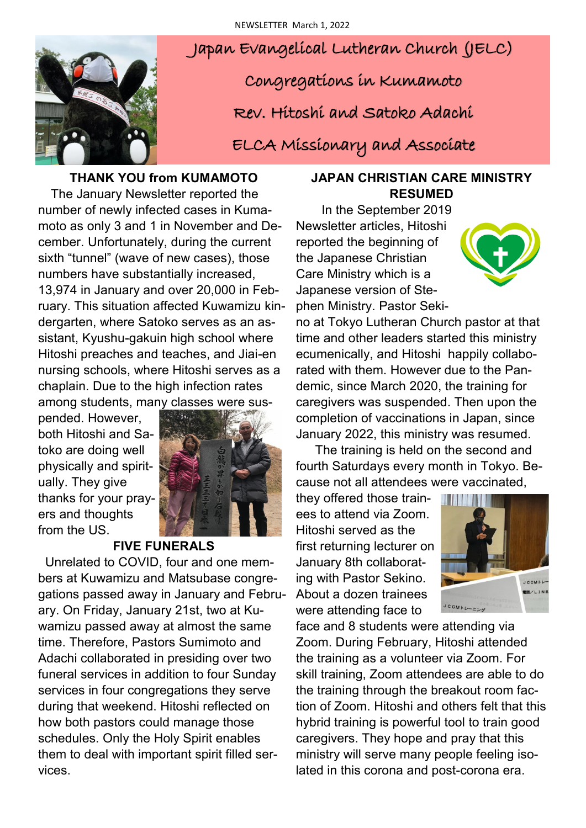

Japan Evangelical Lutheran Church (JELC)

Congregations in Kumamoto

Rev. Hitoshi and Satoko Adachi

ELCA Missionary and Associate

# **THANK YOU from KUMAMOTO**

 The January Newsletter reported the number of newly infected cases in Kumamoto as only 3 and 1 in November and December. Unfortunately, during the current sixth "tunnel" (wave of new cases), those numbers have substantially increased, 13,974 in January and over 20,000 in February. This situation affected Kuwamizu kindergarten, where Satoko serves as an assistant, Kyushu-gakuin high school where Hitoshi preaches and teaches, and Jiai-en nursing schools, where Hitoshi serves as a chaplain. Due to the high infection rates among students, many classes were sus-

pended. However, both Hitoshi and Satoko are doing well physically and spiritually. They give thanks for your prayers and thoughts from the US.



# **FIVE FUNERALS**

 Unrelated to COVID, four and one members at Kuwamizu and Matsubase congregations passed away in January and February. On Friday, January 21st, two at Kuwamizu passed away at almost the same time. Therefore, Pastors Sumimoto and Adachi collaborated in presiding over two funeral services in addition to four Sunday services in four congregations they serve during that weekend. Hitoshi reflected on how both pastors could manage those schedules. Only the Holy Spirit enables them to deal with important spirit filled services.

### **JAPAN CHRISTIAN CARE MINISTRY RESUMED**

 In the September 2019 Newsletter articles, Hitoshi reported the beginning of the Japanese Christian Care Ministry which is a Japanese version of Stephen Ministry. Pastor Seki-



no at Tokyo Lutheran Church pastor at that time and other leaders started this ministry ecumenically, and Hitoshi happily collaborated with them. However due to the Pandemic, since March 2020, the training for caregivers was suspended. Then upon the completion of vaccinations in Japan, since January 2022, this ministry was resumed.

 The training is held on the second and fourth Saturdays every month in Tokyo. Because not all attendees were vaccinated,

they offered those trainees to attend via Zoom. Hitoshi served as the first returning lecturer on January 8th collaborating with Pastor Sekino. About a dozen trainees were attending face to



face and 8 students were attending via Zoom. During February, Hitoshi attended the training as a volunteer via Zoom. For skill training, Zoom attendees are able to do the training through the breakout room faction of Zoom. Hitoshi and others felt that this hybrid training is powerful tool to train good caregivers. They hope and pray that this ministry will serve many people feeling isolated in this corona and post-corona era.